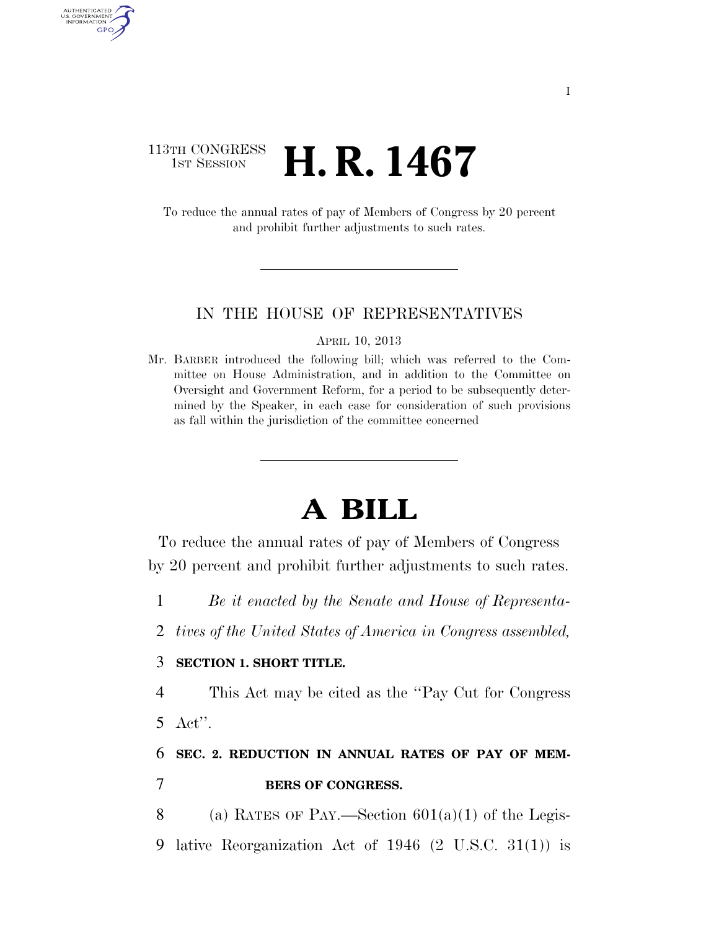### 113TH CONGRESS  $\frac{1}{15T}$  Session **H. R. 1467**

AUTHENTICATED U.S. GOVERNMENT GPO

> To reduce the annual rates of pay of Members of Congress by 20 percent and prohibit further adjustments to such rates.

#### IN THE HOUSE OF REPRESENTATIVES

APRIL 10, 2013

Mr. BARBER introduced the following bill; which was referred to the Committee on House Administration, and in addition to the Committee on Oversight and Government Reform, for a period to be subsequently determined by the Speaker, in each case for consideration of such provisions as fall within the jurisdiction of the committee concerned

# **A BILL**

To reduce the annual rates of pay of Members of Congress by 20 percent and prohibit further adjustments to such rates.

- 1 *Be it enacted by the Senate and House of Representa-*
- 2 *tives of the United States of America in Congress assembled,*

### 3 **SECTION 1. SHORT TITLE.**

4 This Act may be cited as the ''Pay Cut for Congress 5 Act''.

## 6 **SEC. 2. REDUCTION IN ANNUAL RATES OF PAY OF MEM-**7 **BERS OF CONGRESS.**

8 (a) RATES OF PAY.—Section  $601(a)(1)$  of the Legis-9 lative Reorganization Act of 1946 (2 U.S.C. 31(1)) is